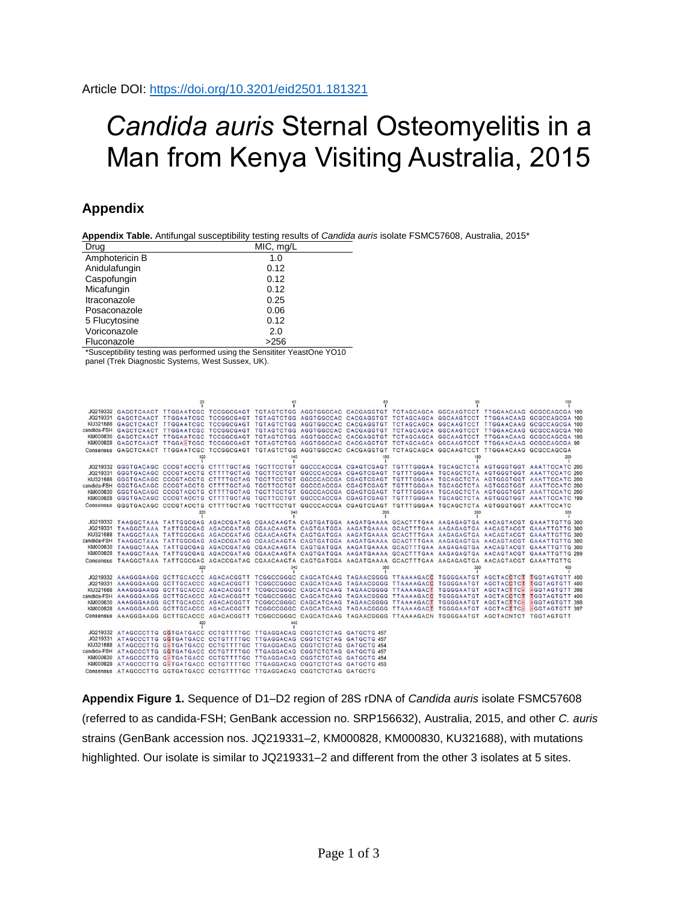## *Candida auris* Sternal Osteomyelitis in a Man from Kenya Visiting Australia, 2015

## **Appendix**

**Appendix Table.** Antifungal susceptibility testing results of *Candida auris* isolate FSMC57608, Australia, 2015\*

| Drug           | MIC, mg/L |
|----------------|-----------|
| Amphotericin B | 1.0       |
| Anidulafungin  | 0.12      |
| Caspofungin    | 0.12      |
| Micafungin     | 0.12      |
| Itraconazole   | 0.25      |
| Posaconazole   | 0.06      |
| 5 Flucytosine  | 0.12      |
| Voriconazole   | 2.0       |
| Fluconazole    | >256      |

\*Susceptibility testing was performed using the Sensititer YeastOne YO10 panel (Trek Diagnostic Systems, West Sussex, UK).

|     |                                                                                                                         |     |  |  |  |  |  |     | JQ219332 GAGCTCAACT TTGGAATCGC TCCGGCGAGT TGTAGTCTGG AGGTGGCCAC CACGAGGTGT TCTAGCAGCA GGCAAGTCCT TTGGAACAAG GCGCCAGCGA 100    |
|-----|-------------------------------------------------------------------------------------------------------------------------|-----|--|--|--|--|--|-----|-------------------------------------------------------------------------------------------------------------------------------|
|     |                                                                                                                         |     |  |  |  |  |  |     | JQ219331 GAGCTCAACT TTGGAATCGC TCCGGCGAGT TGTAGTCTGG AGGTGGCCAC CACGAGGTGT TCTAGCAGCA GGCAAGTCCT TTGGAACAAG GCGCCAGCGA 100    |
|     |                                                                                                                         |     |  |  |  |  |  |     | KU321688 GAGCTCAACT TTGGAATCGC TCCGGCGAGT TGTAGTCTGG AGGTGGCCAC CACGAGGTGT TCTAGCAGCA GGCAAGTCCT TTGGAACAAG GCGCCAGCGA 100    |
|     |                                                                                                                         |     |  |  |  |  |  |     | candida-FSH GAGCTCAACT TTGGAATCGC TCCGGCGAGT TGTAGTCTGG AGGTGGCCAC CACGAGGTGT TCTAGCAGCA GGCAAGTCCT TTGGAACAAG GCGCCAGCGA 100 |
|     |                                                                                                                         |     |  |  |  |  |  |     | KM000830 GAGCTCAACT TTGGAATCGC TCCGGCGAGT TGTAGTCTGG AGGTGGCCAC CACGAGGTGT TCTAGCAGCA GGCAAGTCCT TTGGAACAAG GCGCCAGCGA 100    |
|     |                                                                                                                         |     |  |  |  |  |  |     | KM000828 GAGCTCAACT TTGGA=TCGC TCCGGCGAGT TGTAGTCTGG AGGTGGCCAC CACGAGGTGT TCTAGCAGCA GGCAAGTCCT TTGGAACAAG GCGCCAGCGA 99     |
|     | Consensus GAGCTCAACT TTGGAATCGC TCCGGCGAGT TGTAGTCTGG AGGTGGCCAC CACGAGGTGT TCTAGCAGCA GGCAAGTCCT TTGGAACAAG GCGCCAGCGA |     |  |  |  |  |  |     |                                                                                                                               |
| 120 |                                                                                                                         | 140 |  |  |  |  |  | 200 |                                                                                                                               |
|     |                                                                                                                         |     |  |  |  |  |  |     |                                                                                                                               |
|     |                                                                                                                         |     |  |  |  |  |  |     |                                                                                                                               |
|     |                                                                                                                         |     |  |  |  |  |  |     |                                                                                                                               |
|     |                                                                                                                         |     |  |  |  |  |  |     |                                                                                                                               |
|     |                                                                                                                         |     |  |  |  |  |  |     |                                                                                                                               |
|     |                                                                                                                         |     |  |  |  |  |  |     |                                                                                                                               |
|     |                                                                                                                         |     |  |  |  |  |  |     |                                                                                                                               |
|     |                                                                                                                         |     |  |  |  |  |  |     |                                                                                                                               |
|     |                                                                                                                         |     |  |  |  |  |  |     | JQ219332 TAAGGCTAAA TATTGGCGAG AGACCGATAG CGAACAAGTA CAGTGATGGA AAGATGAAAA GCACTTTGAA AAGAGAGTGA AACAGTACGT GAAATTGTTG 300    |
|     |                                                                                                                         |     |  |  |  |  |  |     | JQ219331 TAAGGCTAAA TATTGGCGAG AGACCGATAG CGAACAAGTA CAGTGATGGA AAGATGAAAA GCACTTTGAA AAGAGAGTGA AACAGTACGT GAAATTGTTG 300    |
|     |                                                                                                                         |     |  |  |  |  |  |     | KU321688 TAAGGCTAAA TATTGGCGAG AGACCGATAG CGAACAAGTA CAGTGATGGA AAGATGAAAA GCACTTTGAA AAGAGAGTGA AACAGTACGT GAAATTGTTG 300    |
|     |                                                                                                                         |     |  |  |  |  |  |     | candida-FSH TAAGGCTAAA TATTGGCGAG AGACCGATAG CGAACAAGTA CAGTGATGGA AAGATGAAAA GCACTTTGAA AAGAGAGTGA AACAGTACGT GAAATTGTTG 300 |
|     |                                                                                                                         |     |  |  |  |  |  |     | KM000830 TAAGGCTAAA TATTGGCGAG AGACCGATAG CGAACAAGTA CAGTGATGGA AAGATGAAAA GCACTTTGAA AAGAGAGTGA AACAGTACGT GAAATTGTTG 300    |
|     |                                                                                                                         |     |  |  |  |  |  |     | KM000828 TAAGGCTAAA TATTGGCGAG AGACCGATAG CGAACAAGTA CAGTGATGGA AAGATGAAAA GCACTTTGAA AAGAGAGTGA AACAGTACGT GAAATTGTTG 299    |
|     | Consensus TAAGGCTAAA TATTGGCGAG AGACCGATAG CGAACAAGTA CAGTGATGGA AAGATGAAAA GCACTTTGAA AAGAGAGTGA AACAGTACGT GAAATTGTTG |     |  |  |  |  |  |     |                                                                                                                               |
|     |                                                                                                                         |     |  |  |  |  |  |     |                                                                                                                               |
|     |                                                                                                                         |     |  |  |  |  |  |     | JQ219332 AAAGGGAAGG GCTTGCACCC AGACACGGTT TCGGCCGGGC CAGCATCAAG TAGAACGGGG TTAAAAGACC TGGGGAATGT AGCTACCTCT TGGTAGTGTT 400    |
|     |                                                                                                                         |     |  |  |  |  |  |     | JQ219331 AAAGGGAAGG GCTTGCACCC AGACACGGTT TCGGCCGGGC CAGCATCAAG TAGAACGGGG TTAAAAGACC TGGGGAATGT AGCTACCTCT TGGTAGTGTT 400    |
|     |                                                                                                                         |     |  |  |  |  |  |     | KU321688 AAAGGGAAGG GCTTGCACCC AGACACGGTT TCGGCCGGGC CAGCATCAAG TAGAACGGGG TTAAAAGACT TGGGGAATGT AGCTACTTC- GGTAGTGTT 398     |
|     |                                                                                                                         |     |  |  |  |  |  |     | candida-FSH AAAGGGAAGG GCTTGCACCC AGACACGGTT TCGGCCGGGC CAGCATCAAG TAGAACGGGG TTAAAAGACC TGGGGAATGT AGCTACCTCT TGGTAGTGTT 400 |
|     |                                                                                                                         |     |  |  |  |  |  |     | KM000830 AAAGGGAAGG GCTTGCACCC AGACACGGTT TCGGCCGGGC CAGCATCAAG TAGAACGGGG TTAAAAGACT TGGGGAATGT AGCTACTTC- EGGTAGTGTT 398    |
|     |                                                                                                                         |     |  |  |  |  |  |     | KM000828 AAAGGGAAGG GCTTGCACCC AGACACGGTT TCGGCCGGGC CAGCATCAAG TAGAACGGGG TTAAAAGACT TGGGGAATGT AGCTACTTC -GGTAGTGTT 397     |
|     | Consensus AAAGGGAAGG GCTTGCACCC AGACACGGTT TCGGCCGGGC CAGCATCAAG TAGAACGGGG TTAAAAGACN TGGGGAATGT AGCTACNTCT TGGTAGTGTT |     |  |  |  |  |  |     |                                                                                                                               |
|     |                                                                                                                         |     |  |  |  |  |  |     |                                                                                                                               |
|     | JQ219332 ATAGCCCTTG GGTGATGACC CCTGTTTTGC TTGAGGACAG CGGTCTCTAG GATGCTG 457                                             |     |  |  |  |  |  |     |                                                                                                                               |
|     | JQ219331 ATAGCCCTTG GGTGATGACC CCTGTTTTGC TTGAGGACAG CGGTCTCTAG GATGCTG 457                                             |     |  |  |  |  |  |     |                                                                                                                               |
|     | KU321688 ATAGCCCTTG G-TGATGACC CCTGTTTTGC TTGAGGACAG CGGTCTCTAG GATGCTG 454                                             |     |  |  |  |  |  |     |                                                                                                                               |
|     | candida-FSH ATAGCCCTTG GGTGATGACC CCTGTTTTGC TTGAGGACAG CGGTCTCTAG GATGCTG 457                                          |     |  |  |  |  |  |     |                                                                                                                               |
|     | KM000830 ATAGCCCTTG G-TGATGACC CCTGTTTTGC TTGAGGACAG CGGTCTCTAG GATGCTG 454                                             |     |  |  |  |  |  |     |                                                                                                                               |
|     | KM000828 ATAGCCCTTG G-TGATGACC CCTGTTTTGC TTGAGGACAG CGGTCTCTAG GATGCTG 453                                             |     |  |  |  |  |  |     |                                                                                                                               |
|     | Consensus ATAGCCCTTG GGTGATGACC CCTGTTTTGC TTGAGGACAG CGGTCTCTAG GATGCTG                                                |     |  |  |  |  |  |     |                                                                                                                               |

**Appendix Figure 1.** Sequence of D1–D2 region of 28S rDNA of *Candida auris* isolate FSMC57608 (referred to as candida-FSH; GenBank accession no. SRP156632), Australia, 2015, and other *C. auris* strains (GenBank accession nos. JQ219331–2, KM000828, KM000830, KU321688), with mutations highlighted. Our isolate is similar to JQ219331–2 and different from the other 3 isolates at 5 sites.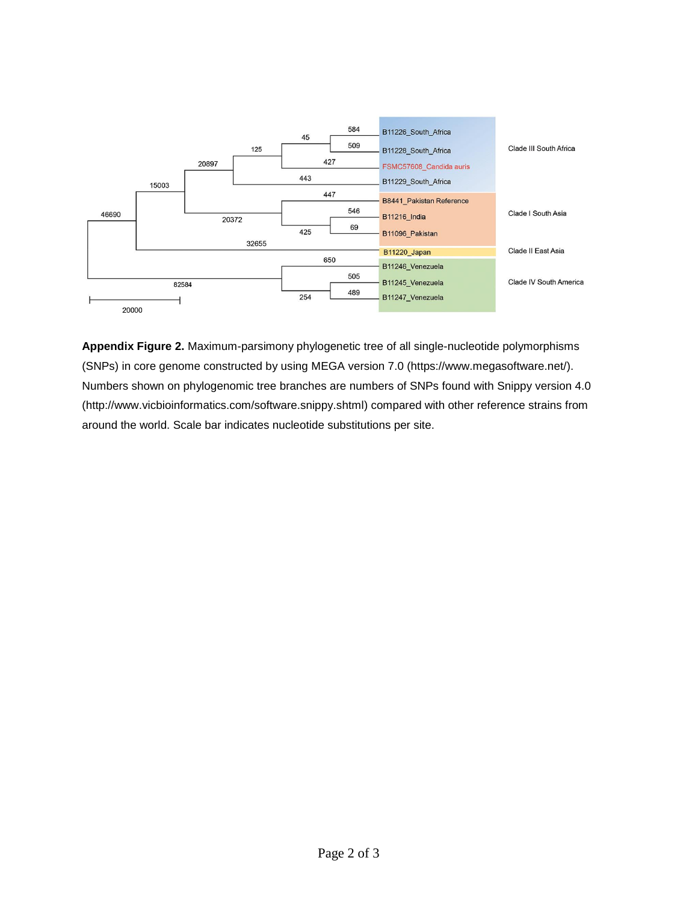

**Appendix Figure 2.** Maximum-parsimony phylogenetic tree of all single-nucleotide polymorphisms (SNPs) in core genome constructed by using MEGA version 7.0 (https://www.megasoftware.net/). Numbers shown on phylogenomic tree branches are numbers of SNPs found with Snippy version 4.0 (http://www.vicbioinformatics.com/software.snippy.shtml) compared with other reference strains from around the world. Scale bar indicates nucleotide substitutions per site.